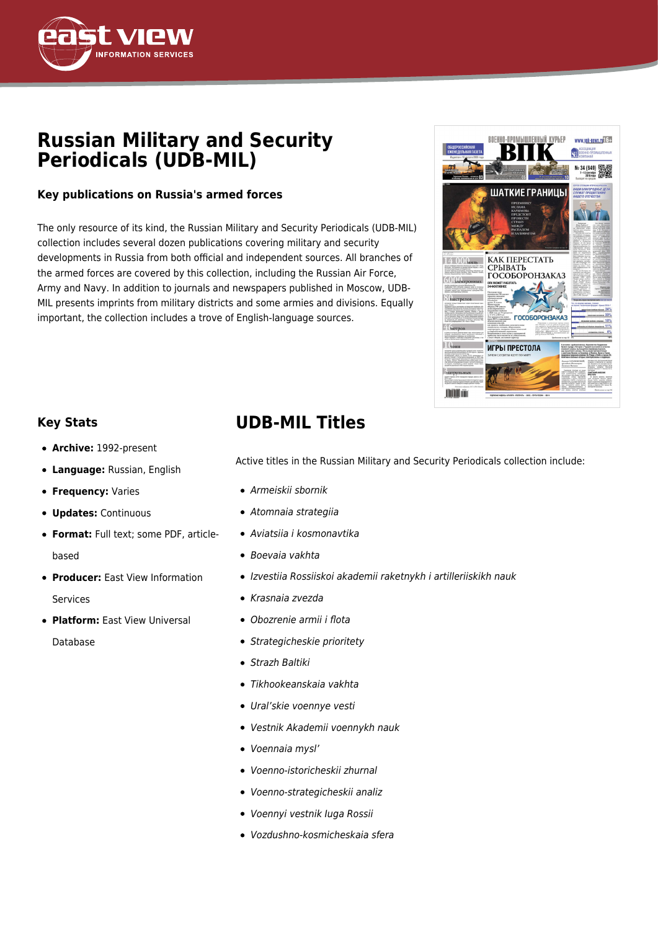

# **Russian Military and Security Periodicals (UDB-MIL)**

### **Key publications on Russia's armed forces**

The only resource of its kind, the Russian Military and Security Periodicals (UDB-MIL) collection includes several dozen publications covering military and security developments in Russia from both official and independent sources. All branches of the armed forces are covered by this collection, including the Russian Air Force, Army and Navy. In addition to journals and newspapers published in Moscow, UDB-MIL presents imprints from military districts and some armies and divisions. Equally important, the collection includes a trove of English-language sources.



### **Key Stats**

- **Archive:** 1992-present
- **Language:** Russian, English
- **Frequency: Varies**
- **Updates:** Continuous
- **Format:** Full text; some PDF, articlebased
- **Producer:** East View Information Services
- **Platform:** East View Universal Database

## **UDB-MIL Titles**

Active titles in the Russian Military and Security Periodicals collection include:

- Armeiskii sbornik
- Atomnaia strategiia
- Aviatsiia i kosmonavtika
- Boevaia vakhta
- Izvestiia Rossiiskoi akademii raketnykh i artilleriiskikh nauk
- Krasnaia zvezda
- Obozrenie armii i flota
- Strategicheskie prioritety
- Strazh Baltiki
- Tikhookeanskaia vakhta
- Ural'skie voennye vesti
- Vestnik Akademii voennykh nauk
- Voennaia mysl'
- Voenno-istoricheskii zhurnal
- Voenno-strategicheskii analiz
- Voennyi vestnik Iuga Rossii
- Vozdushno-kosmicheskaia sfera